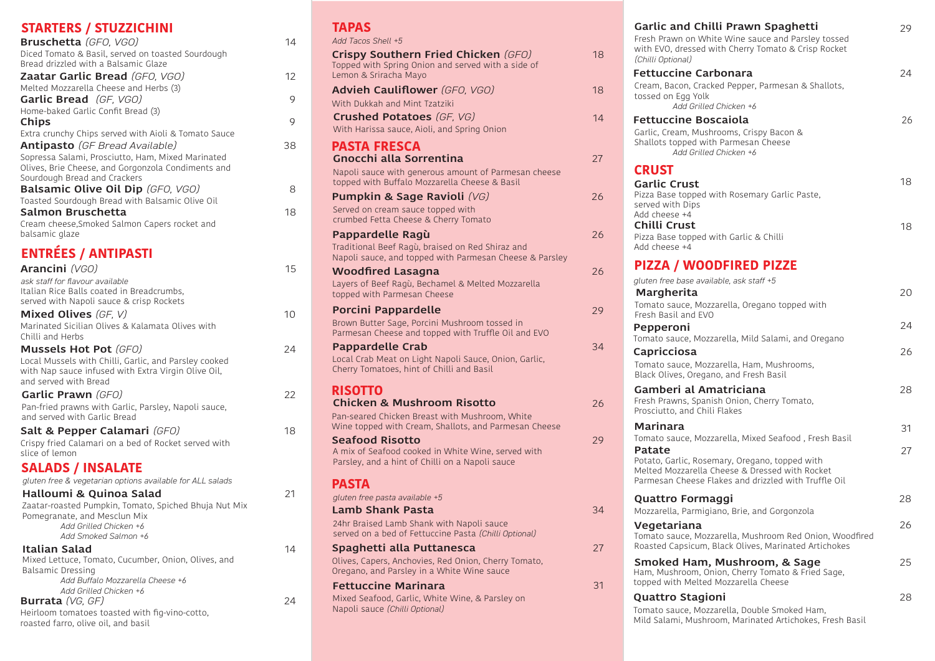| <b>STARTERS / STUZZICHINI</b>                                                             |
|-------------------------------------------------------------------------------------------|
| Bruschetta (GFO, VGO)                                                                     |
| Diced Tomato & Basil, served on toasted Sourdough<br>Bread drizzled with a Balsamic Glaze |
| <b>Zaatar Garlic Bread</b> (GFO, VGO)                                                     |
| Melted Mozzarella Cheese and Herbs (3)                                                    |
| <b>Garlic Bread</b> (GF, VGO)                                                             |
| Home-baked Garlic Confit Bread (3)                                                        |
| Chips                                                                                     |
| Extra crunchy Chips served with Aioli & Tomato Sauce                                      |
| <b>Antipasto</b> (GF Bread Available)                                                     |
| Sopressa Salami, Prosciutto, Ham, Mixed Marinated                                         |
| Olives, Brie Cheese, and Gorgonzola Condiments and<br>Sourdough Bread and Crackers        |
| Balsamic Olive Oil Dip (GFO, VGO)                                                         |
| Toasted Sourdough Bread with Balsamic Olive Oil                                           |
| Salmon Bruschetta                                                                         |
| Cream cheese, Smoked Salmon Capers rocket and                                             |
| balsamic glaze                                                                            |
| <b>ENTRÉES / ANTIPASTI</b>                                                                |
| Arancini (VGO)                                                                            |
| ask staff for flavour available                                                           |
| Italian Rice Balls coated in Breadcrumbs,                                                 |
| served with Napoli sauce & crisp Rockets                                                  |
| <b>Mixed Olives</b> (GF, V)                                                               |
| Marinated Sicilian Olives & Kalamata Olives with<br>Chilli and Herbs                      |
| <b>Mussels Hot Pot</b> (GFO)                                                              |
| Local Mussels with Chilli, Garlic, and Parsley cooked                                     |
| with Nap sauce infused with Extra Virgin Olive Oil,                                       |
| and served with Bread                                                                     |
| Garlic Prawn (GFO)                                                                        |
| Pan-fried prawns with Garlic, Parsley, Napoli sauce,<br>and served with Garlic Bread      |
| Salt & Pepper Calamari (GFO)                                                              |
| Crispy fried Calamari on a bed of Rocket served with                                      |
| slice of lemon                                                                            |
| <b>SALADS / INSALATE</b>                                                                  |
| gluten free & vegetarian options available for ALL salads                                 |
| Halloumi & Quinoa Salad                                                                   |
| Zaatar-roasted Pumpkin, Tomato, Spiched Bhuja Nut Mix                                     |
| Pomegranate, and Mesclun Mix                                                              |
| Add Grilled Chicken +6                                                                    |
| Add Smoked Salmon +6                                                                      |
| Italian Salad                                                                             |

Mixed Lettuce, Tomato, Cucumber, Onion, Olives, and Balsamic Dressing *Add Buffalo Mozzarella Cheese +6 Add Grilled Chicken +6* **Burrata** *(VG, GF)*

#### Heirloom tomatoes toasted with fig-vino-cotto, roasted farro, olive oil, and basil

# **TAPAS**

14

12

9

9

38

8

18

10

15

24

18

21

14

24

22

| IAFAƏ                  |                                                                                                             |
|------------------------|-------------------------------------------------------------------------------------------------------------|
| Add Tacos Shell +5     |                                                                                                             |
| Lemon & Sriracha Mayo  | Crispy Southern Fried Chicken (GFO)<br>Topped with Spring Onion and served with a side of                   |
|                        | <b>Advieh Cauliflower</b> (GFO, VGO)                                                                        |
|                        | With Dukkah and Mint Tzatziki                                                                               |
|                        | <b>Crushed Potatoes</b> (GF. VG)                                                                            |
|                        | With Harissa sauce, Aioli, and Spring Onion                                                                 |
| <b>PASTA FRESCA</b>    |                                                                                                             |
|                        | Gnocchi alla Sorrentina                                                                                     |
|                        | Napoli sauce with generous amount of Parmesan cheese<br>topped with Buffalo Mozzarella Cheese & Basil       |
|                        | Pumpkin & Sage Ravioli (VG)                                                                                 |
|                        | Served on cream sauce topped with                                                                           |
|                        | crumbed Fetta Cheese & Cherry Tomato                                                                        |
|                        | Pappardelle Ragù                                                                                            |
|                        | Traditional Beef Ragù, braised on Red Shiraz and<br>Napoli sauce, and topped with Parmesan Cheese & Parsley |
|                        | <b>Woodfired Lasagna</b>                                                                                    |
|                        | Layers of Beef Ragù, Bechamel & Melted Mozzarella<br>topped with Parmesan Cheese                            |
|                        | <b>Porcini Pappardelle</b>                                                                                  |
|                        | Brown Butter Sage, Porcini Mushroom tossed in                                                               |
|                        | Parmesan Cheese and topped with Truffle Oil and EVO                                                         |
|                        | <b>Pappardelle Crab</b><br>Local Crab Meat on Light Napoli Sauce, Onion, Garlic,                            |
|                        | Cherry Tomatoes, hint of Chilli and Basil                                                                   |
| <b>RISOTTO</b>         | <b>Chicken &amp; Mushroom Risotto</b>                                                                       |
|                        | Pan-seared Chicken Breast with Mushroom, White                                                              |
|                        | Wine topped with Cream, Shallots, and Parmesan Cheese                                                       |
| <b>Seafood Risotto</b> |                                                                                                             |
|                        | A mix of Seafood cooked in White Wine, served with                                                          |
|                        | Parsley, and a hint of Chilli on a Napoli sauce                                                             |
| <b>PASTA</b>           |                                                                                                             |
|                        | gluten free pasta available +5                                                                              |
|                        | Lamb Shank Pasta                                                                                            |
|                        | 24hr Braised Lamb Shank with Napoli sauce                                                                   |
|                        | served on a bed of Fettuccine Pasta (Chilli Optional)                                                       |
|                        | Spaghetti alla Puttanesca                                                                                   |
|                        | Olives, Capers, Anchovies, Red Onion, Cherry Tomato,<br>Oregano, and Parsley in a White Wine sauce          |
|                        | <b>Fettuccine Marinara</b>                                                                                  |
|                        | Mixed Seafood, Garlic, White Wine, & Parsley on<br>Napoli sauce (Chilli Optional)                           |
|                        |                                                                                                             |

18

18

14

27

26

26

26

29

34

34

27

31

29

26

| Garlic and Chilli Prawn Spaghetti<br>Fresh Prawn on White Wine sauce and Parsley tossed                                                                  | 29 |
|----------------------------------------------------------------------------------------------------------------------------------------------------------|----|
| with EVO, dressed with Cherry Tomato & Crisp Rocket<br>(Chilli Optional)                                                                                 |    |
| <b>Fettuccine Carbonara</b><br>Cream, Bacon, Cracked Pepper, Parmesan & Shallots,<br>tossed on Egg Yolk                                                  | 24 |
| Add Grilled Chicken +6                                                                                                                                   |    |
| <b>Fettuccine Boscaiola</b><br>Garlic, Cream, Mushrooms, Crispy Bacon &<br>Shallots topped with Parmesan Cheese<br>Add Grilled Chicken +6                | 26 |
| <b>CRUST</b>                                                                                                                                             |    |
| <b>Garlic Crust</b><br>Pizza Base topped with Rosemary Garlic Paste,<br>served with Dips                                                                 | 18 |
| Add cheese +4<br>Chilli Crust                                                                                                                            | 18 |
| Pizza Base topped with Garlic & Chilli<br>Add cheese +4                                                                                                  |    |
| <b>PIZZA / WOODFIRED PIZZE</b>                                                                                                                           |    |
| gluten free base available, ask staff +5<br>Margherita                                                                                                   | 20 |
| Tomato sauce, Mozzarella, Oregano topped with<br>Fresh Basil and EVO                                                                                     |    |
| Pepperoni                                                                                                                                                | 24 |
| Tomato sauce, Mozzarella, Mild Salami, and Oregano<br>Capricciosa                                                                                        | 26 |
| Tomato sauce, Mozzarella, Ham, Mushrooms,<br>Black Olives, Oregano, and Fresh Basil                                                                      |    |
| Gamberi al Amatriciana<br>Fresh Prawns, Spanish Onion, Cherry Tomato,<br>Prosciutto, and Chili Flakes                                                    | 28 |
| Marinara                                                                                                                                                 | 31 |
| Tomato sauce, Mozzarella, Mixed Seafood, Fresh Basil<br>Patate                                                                                           | 27 |
| Potato, Garlic, Rosemary, Oregano, topped with<br>Melted Mozzarella Cheese & Dressed with Rocket<br>Parmesan Cheese Flakes and drizzled with Truffle Oil |    |
| Quattro Formaggi<br>Mozzarella, Parmigiano, Brie, and Gorgonzola                                                                                         | 28 |
| Vegetariana<br>Tomato sauce, Mozzarella, Mushroom Red Onion, Woodfired<br>Roasted Capsicum, Black Olives, Marinated Artichokes                           | 26 |
| Smoked Ham, Mushroom, & Sage<br>Ham, Mushroom, Onion, Cherry Tomato & Fried Sage,<br>topped with Melted Mozzarella Cheese                                | 25 |
| Quattro Stagioni                                                                                                                                         | 28 |
|                                                                                                                                                          |    |

Tomato sauce, Mozzarella, Double Smoked Ham, Mild Salami, Mushroom, Marinated Artichokes, Fresh Basil